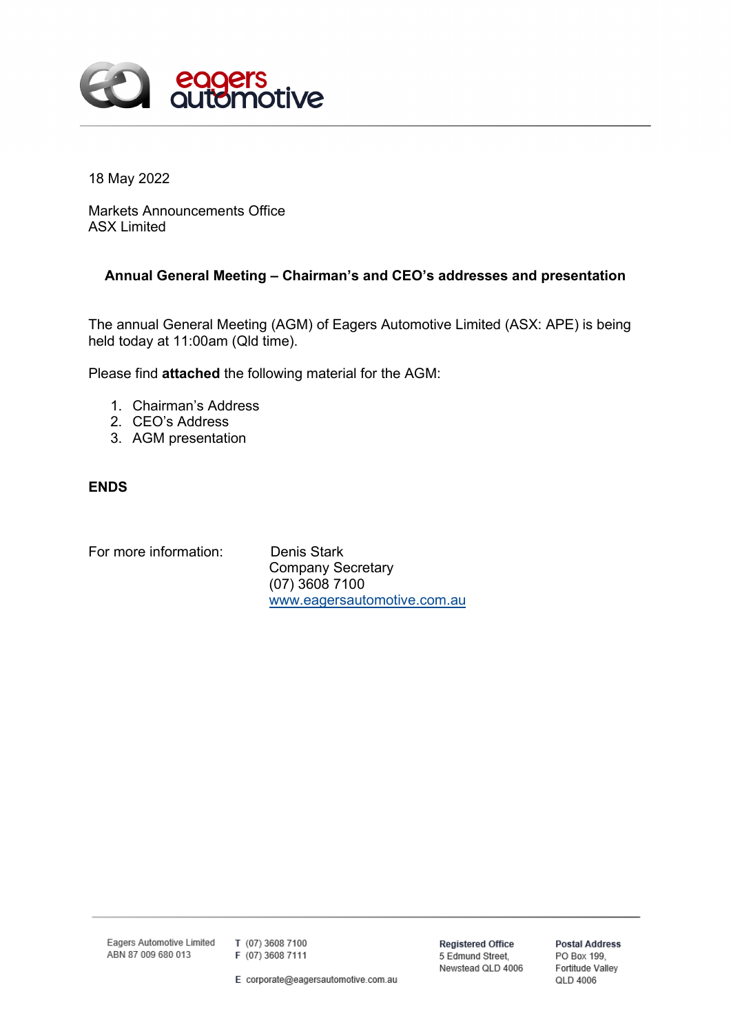

18 May 2022

Markets Announcements Office ASX Limited

# **Annual General Meeting – Chairman's and CEO's addresses and presentation**

The annual General Meeting (AGM) of Eagers Automotive Limited (ASX: APE) is being held today at 11:00am (Qld time).

Please find **attached** the following material for the AGM:

- 1. Chairman's Address
- 2. CEO's Address
- 3. AGM presentation

# **ENDS**

For more information: Denis Stark

Company Secretary (07) 3608 7100 [www.eagersautomotive.com.au](http://www.eagersautomotive.com.au/)

Eagers Automotive Limited ABN 87 009 680 013

T (07) 3608 7100 F (07) 3608 7111

E corporate@eagersautomotive.com.au

**Registered Office** 5 Edmund Street, Newstead QLD 4006

**Postal Address** PO Box 199, Fortitude Valley QLD 4006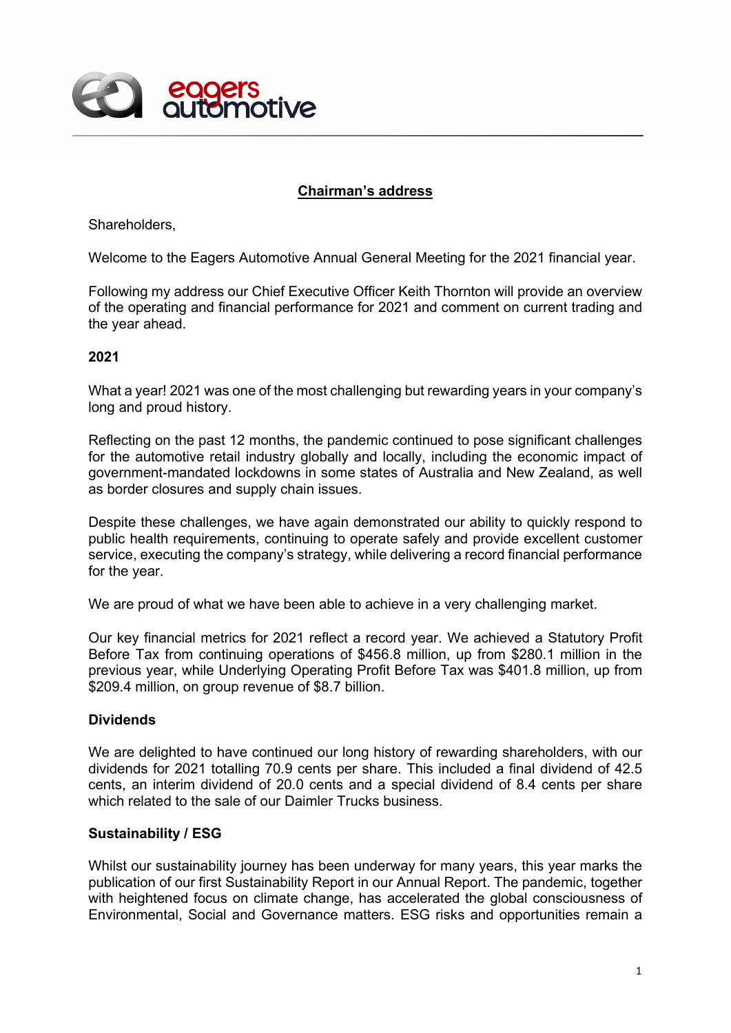

# **Chairman's address**

Shareholders,

Welcome to the Eagers Automotive Annual General Meeting for the 2021 financial year.

Following my address our Chief Executive Officer Keith Thornton will provide an overview of the operating and financial performance for 2021 and comment on current trading and the year ahead.

#### **2021**

What a year! 2021 was one of the most challenging but rewarding years in your company's long and proud history.

Reflecting on the past 12 months, the pandemic continued to pose significant challenges for the automotive retail industry globally and locally, including the economic impact of government-mandated lockdowns in some states of Australia and New Zealand, as well as border closures and supply chain issues.

Despite these challenges, we have again demonstrated our ability to quickly respond to public health requirements, continuing to operate safely and provide excellent customer service, executing the company's strategy, while delivering a record financial performance for the year.

We are proud of what we have been able to achieve in a very challenging market.

Our key financial metrics for 2021 reflect a record year. We achieved a Statutory Profit Before Tax from continuing operations of \$456.8 million, up from \$280.1 million in the previous year, while Underlying Operating Profit Before Tax was \$401.8 million, up from \$209.4 million, on group revenue of \$8.7 billion.

## **Dividends**

We are delighted to have continued our long history of rewarding shareholders, with our dividends for 2021 totalling 70.9 cents per share. This included a final dividend of 42.5 cents, an interim dividend of 20.0 cents and a special dividend of 8.4 cents per share which related to the sale of our Daimler Trucks business.

## **Sustainability / ESG**

Whilst our sustainability journey has been underway for many years, this year marks the publication of our first Sustainability Report in our Annual Report. The pandemic, together with heightened focus on climate change, has accelerated the global consciousness of Environmental, Social and Governance matters. ESG risks and opportunities remain a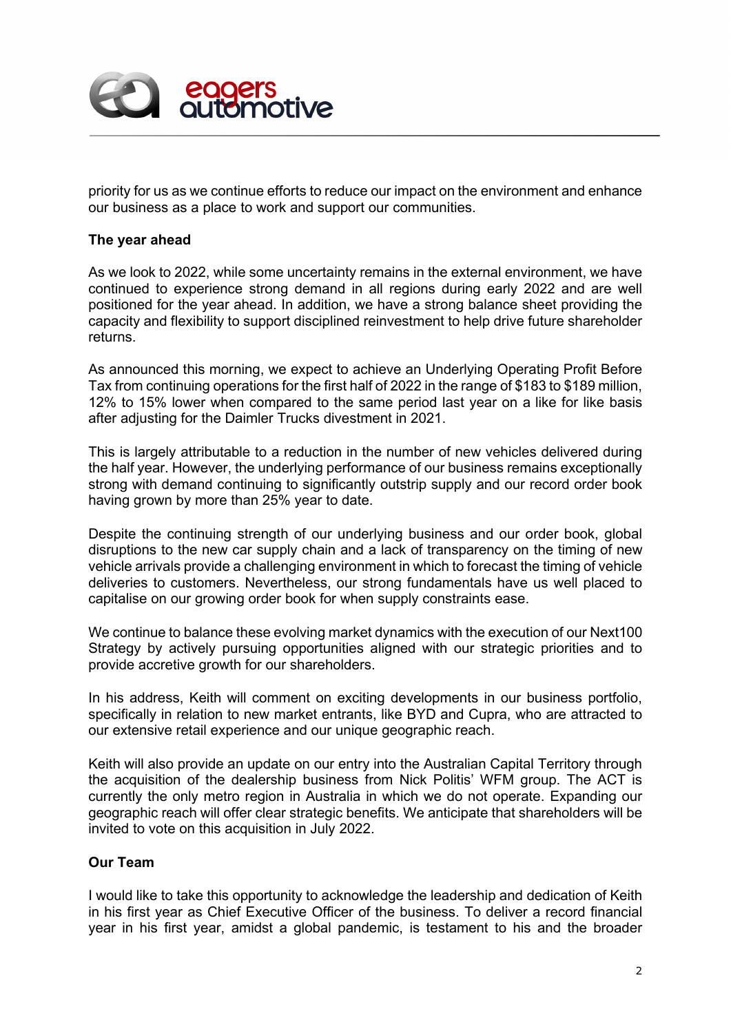

priority for us as we continue efforts to reduce our impact on the environment and enhance our business as a place to work and support our communities.

## **The year ahead**

As we look to 2022, while some uncertainty remains in the external environment, we have continued to experience strong demand in all regions during early 2022 and are well positioned for the year ahead. In addition, we have a strong balance sheet providing the capacity and flexibility to support disciplined reinvestment to help drive future shareholder returns.

As announced this morning, we expect to achieve an Underlying Operating Profit Before Tax from continuing operations for the first half of 2022 in the range of \$183 to \$189 million, 12% to 15% lower when compared to the same period last year on a like for like basis after adjusting for the Daimler Trucks divestment in 2021.

This is largely attributable to a reduction in the number of new vehicles delivered during the half year. However, the underlying performance of our business remains exceptionally strong with demand continuing to significantly outstrip supply and our record order book having grown by more than 25% year to date.

Despite the continuing strength of our underlying business and our order book, global disruptions to the new car supply chain and a lack of transparency on the timing of new vehicle arrivals provide a challenging environment in which to forecast the timing of vehicle deliveries to customers. Nevertheless, our strong fundamentals have us well placed to capitalise on our growing order book for when supply constraints ease.

We continue to balance these evolving market dynamics with the execution of our Next100 Strategy by actively pursuing opportunities aligned with our strategic priorities and to provide accretive growth for our shareholders.

In his address, Keith will comment on exciting developments in our business portfolio, specifically in relation to new market entrants, like BYD and Cupra, who are attracted to our extensive retail experience and our unique geographic reach.

Keith will also provide an update on our entry into the Australian Capital Territory through the acquisition of the dealership business from Nick Politis' WFM group. The ACT is currently the only metro region in Australia in which we do not operate. Expanding our geographic reach will offer clear strategic benefits. We anticipate that shareholders will be invited to vote on this acquisition in July 2022.

## **Our Team**

I would like to take this opportunity to acknowledge the leadership and dedication of Keith in his first year as Chief Executive Officer of the business. To deliver a record financial year in his first year, amidst a global pandemic, is testament to his and the broader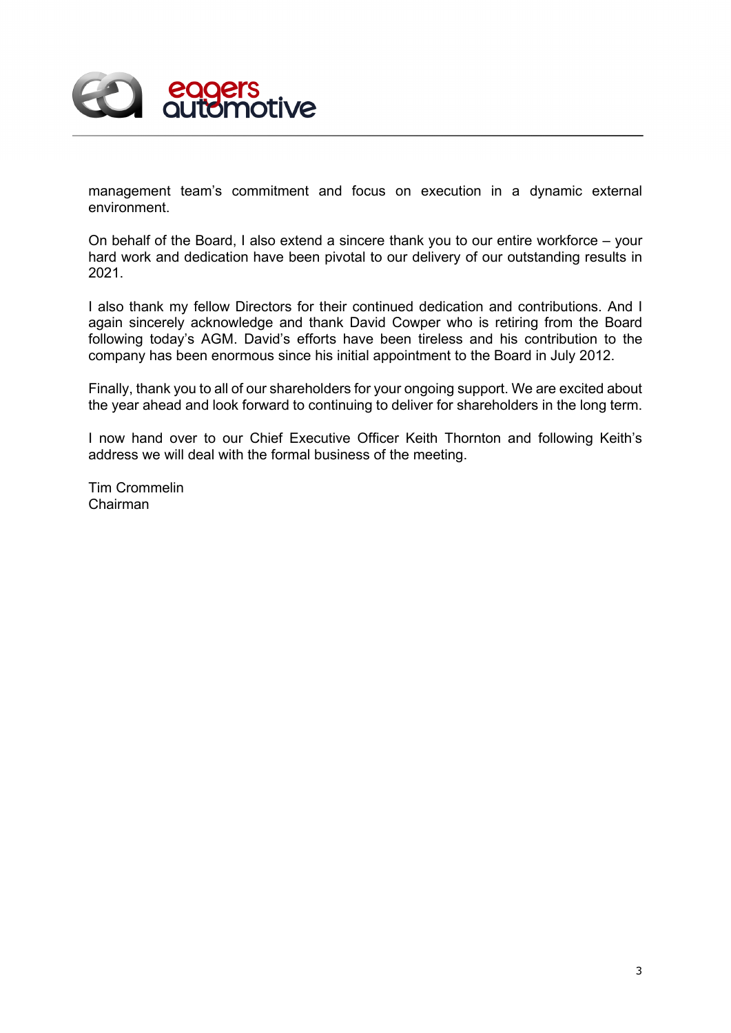

management team's commitment and focus on execution in a dynamic external environment.

On behalf of the Board, I also extend a sincere thank you to our entire workforce – your hard work and dedication have been pivotal to our delivery of our outstanding results in 2021.

I also thank my fellow Directors for their continued dedication and contributions. And I again sincerely acknowledge and thank David Cowper who is retiring from the Board following today's AGM. David's efforts have been tireless and his contribution to the company has been enormous since his initial appointment to the Board in July 2012.

Finally, thank you to all of our shareholders for your ongoing support. We are excited about the year ahead and look forward to continuing to deliver for shareholders in the long term.

I now hand over to our Chief Executive Officer Keith Thornton and following Keith's address we will deal with the formal business of the meeting.

Tim Crommelin Chairman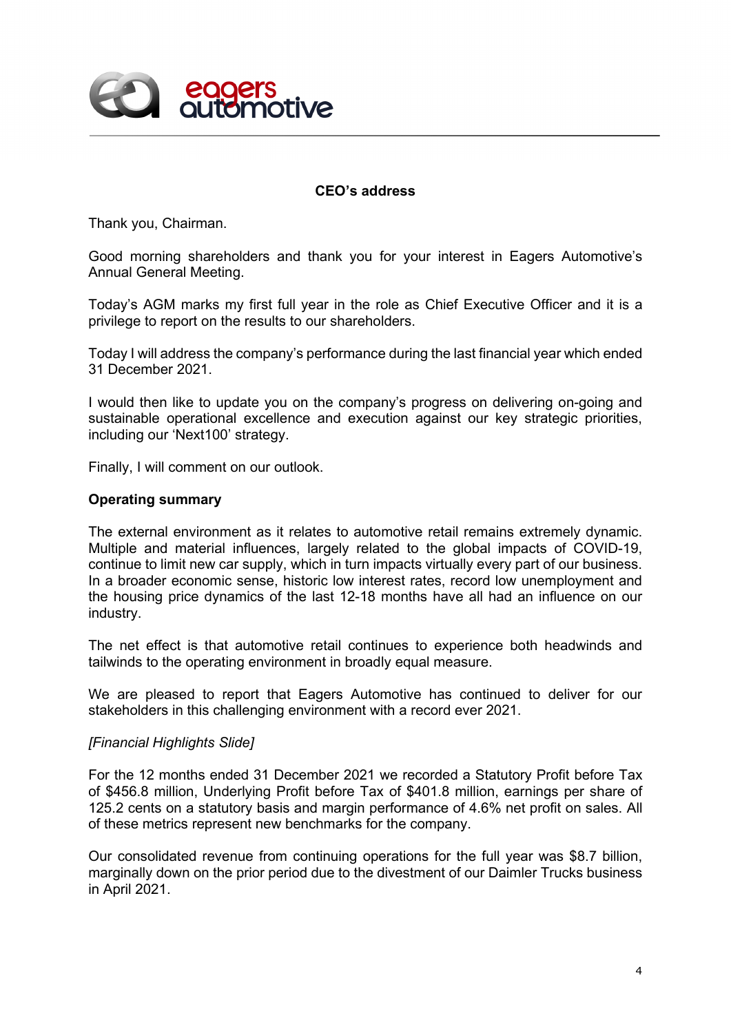

## **CEO's address**

Thank you, Chairman.

Good morning shareholders and thank you for your interest in Eagers Automotive's Annual General Meeting.

Today's AGM marks my first full year in the role as Chief Executive Officer and it is a privilege to report on the results to our shareholders.

Today I will address the company's performance during the last financial year which ended 31 December 2021.

I would then like to update you on the company's progress on delivering on-going and sustainable operational excellence and execution against our key strategic priorities, including our 'Next100' strategy.

Finally, I will comment on our outlook.

#### **Operating summary**

The external environment as it relates to automotive retail remains extremely dynamic. Multiple and material influences, largely related to the global impacts of COVID-19, continue to limit new car supply, which in turn impacts virtually every part of our business. In a broader economic sense, historic low interest rates, record low unemployment and the housing price dynamics of the last 12-18 months have all had an influence on our industry.

The net effect is that automotive retail continues to experience both headwinds and tailwinds to the operating environment in broadly equal measure.

We are pleased to report that Eagers Automotive has continued to deliver for our stakeholders in this challenging environment with a record ever 2021.

#### *[Financial Highlights Slide]*

For the 12 months ended 31 December 2021 we recorded a Statutory Profit before Tax of \$456.8 million, Underlying Profit before Tax of \$401.8 million, earnings per share of 125.2 cents on a statutory basis and margin performance of 4.6% net profit on sales. All of these metrics represent new benchmarks for the company.

Our consolidated revenue from continuing operations for the full year was \$8.7 billion, marginally down on the prior period due to the divestment of our Daimler Trucks business in April 2021.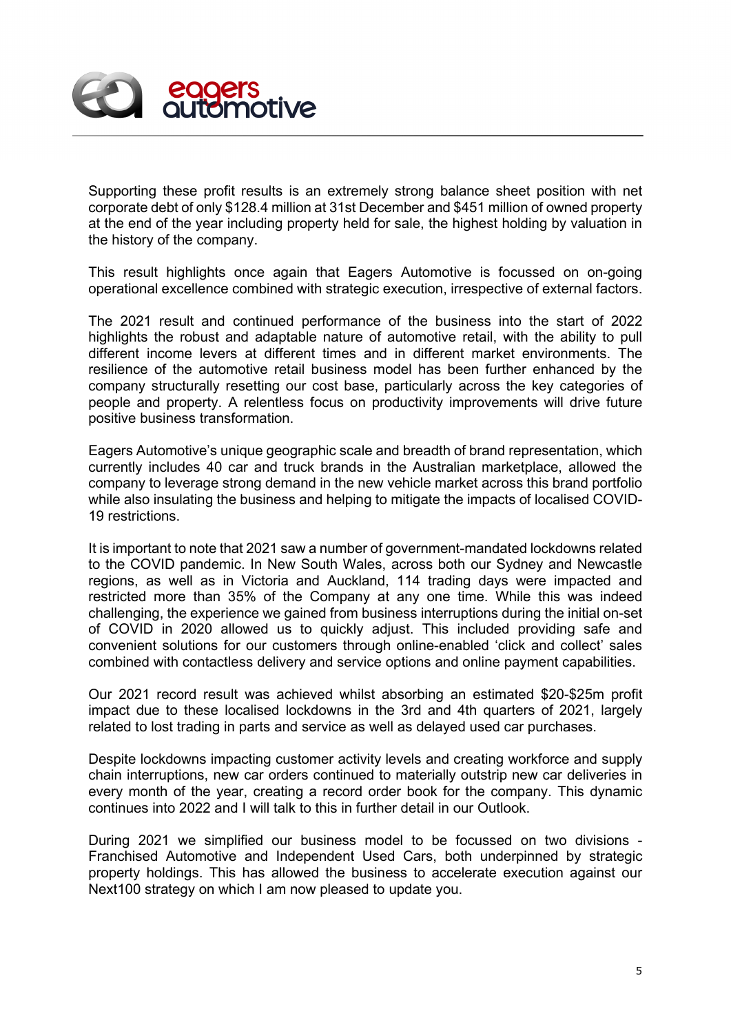

Supporting these profit results is an extremely strong balance sheet position with net corporate debt of only \$128.4 million at 31st December and \$451 million of owned property at the end of the year including property held for sale, the highest holding by valuation in the history of the company.

This result highlights once again that Eagers Automotive is focussed on on-going operational excellence combined with strategic execution, irrespective of external factors.

The 2021 result and continued performance of the business into the start of 2022 highlights the robust and adaptable nature of automotive retail, with the ability to pull different income levers at different times and in different market environments. The resilience of the automotive retail business model has been further enhanced by the company structurally resetting our cost base, particularly across the key categories of people and property. A relentless focus on productivity improvements will drive future positive business transformation.

Eagers Automotive's unique geographic scale and breadth of brand representation, which currently includes 40 car and truck brands in the Australian marketplace, allowed the company to leverage strong demand in the new vehicle market across this brand portfolio while also insulating the business and helping to mitigate the impacts of localised COVID-19 restrictions.

It is important to note that 2021 saw a number of government-mandated lockdowns related to the COVID pandemic. In New South Wales, across both our Sydney and Newcastle regions, as well as in Victoria and Auckland, 114 trading days were impacted and restricted more than 35% of the Company at any one time. While this was indeed challenging, the experience we gained from business interruptions during the initial on-set of COVID in 2020 allowed us to quickly adjust. This included providing safe and convenient solutions for our customers through online-enabled 'click and collect' sales combined with contactless delivery and service options and online payment capabilities.

Our 2021 record result was achieved whilst absorbing an estimated \$20-\$25m profit impact due to these localised lockdowns in the 3rd and 4th quarters of 2021, largely related to lost trading in parts and service as well as delayed used car purchases.

Despite lockdowns impacting customer activity levels and creating workforce and supply chain interruptions, new car orders continued to materially outstrip new car deliveries in every month of the year, creating a record order book for the company. This dynamic continues into 2022 and I will talk to this in further detail in our Outlook.

During 2021 we simplified our business model to be focussed on two divisions - Franchised Automotive and Independent Used Cars, both underpinned by strategic property holdings. This has allowed the business to accelerate execution against our Next100 strategy on which I am now pleased to update you.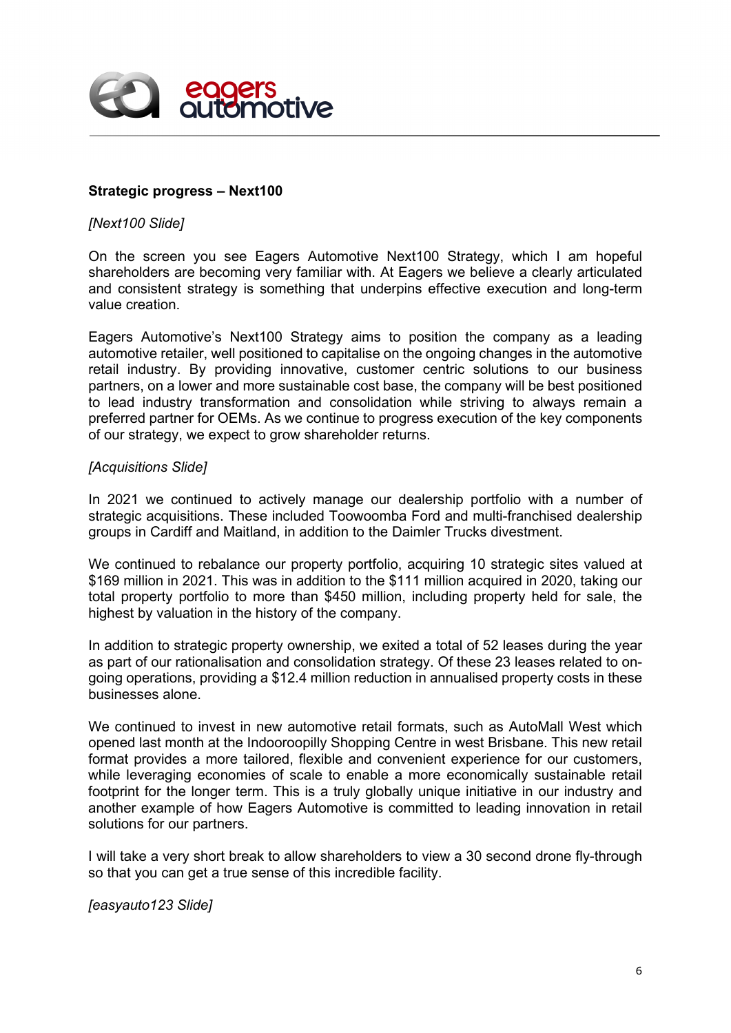

## **Strategic progress – Next100**

### *[Next100 Slide]*

On the screen you see Eagers Automotive Next100 Strategy, which I am hopeful shareholders are becoming very familiar with. At Eagers we believe a clearly articulated and consistent strategy is something that underpins effective execution and long-term value creation.

Eagers Automotive's Next100 Strategy aims to position the company as a leading automotive retailer, well positioned to capitalise on the ongoing changes in the automotive retail industry. By providing innovative, customer centric solutions to our business partners, on a lower and more sustainable cost base, the company will be best positioned to lead industry transformation and consolidation while striving to always remain a preferred partner for OEMs. As we continue to progress execution of the key components of our strategy, we expect to grow shareholder returns.

## *[Acquisitions Slide]*

In 2021 we continued to actively manage our dealership portfolio with a number of strategic acquisitions. These included Toowoomba Ford and multi-franchised dealership groups in Cardiff and Maitland, in addition to the Daimler Trucks divestment.

We continued to rebalance our property portfolio, acquiring 10 strategic sites valued at \$169 million in 2021. This was in addition to the \$111 million acquired in 2020, taking our total property portfolio to more than \$450 million, including property held for sale, the highest by valuation in the history of the company.

In addition to strategic property ownership, we exited a total of 52 leases during the year as part of our rationalisation and consolidation strategy. Of these 23 leases related to ongoing operations, providing a \$12.4 million reduction in annualised property costs in these businesses alone.

We continued to invest in new automotive retail formats, such as AutoMall West which opened last month at the Indooroopilly Shopping Centre in west Brisbane. This new retail format provides a more tailored, flexible and convenient experience for our customers, while leveraging economies of scale to enable a more economically sustainable retail footprint for the longer term. This is a truly globally unique initiative in our industry and another example of how Eagers Automotive is committed to leading innovation in retail solutions for our partners.

I will take a very short break to allow shareholders to view a 30 second drone fly-through so that you can get a true sense of this incredible facility.

*[easyauto123 Slide]*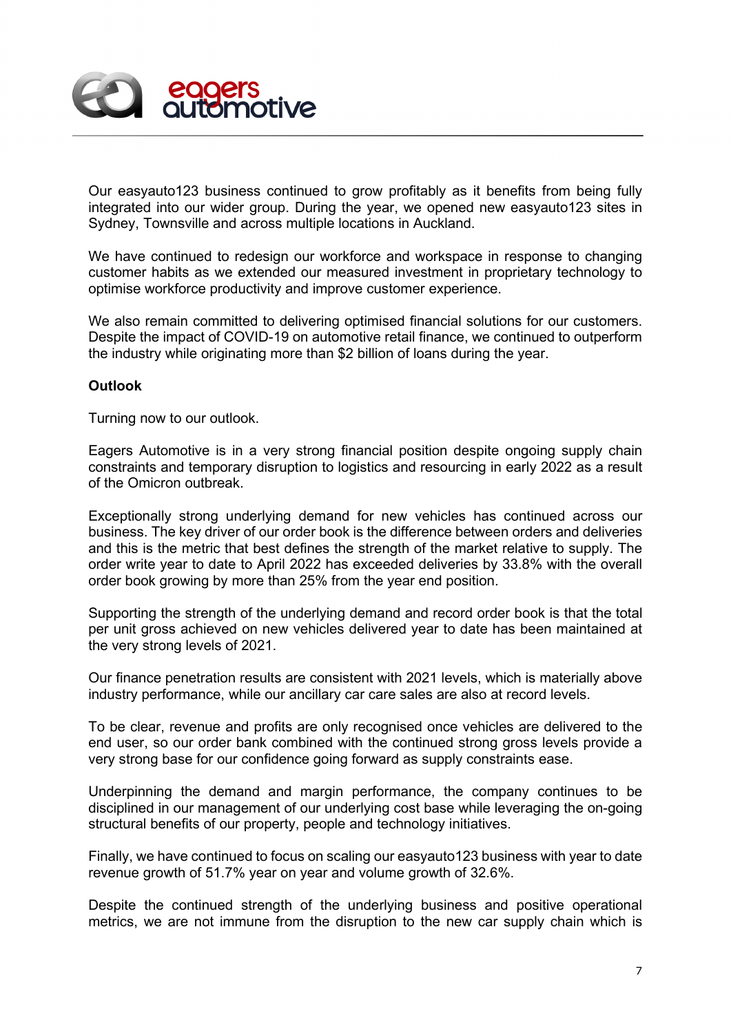

Our easyauto123 business continued to grow profitably as it benefits from being fully integrated into our wider group. During the year, we opened new easyauto123 sites in Sydney, Townsville and across multiple locations in Auckland.

We have continued to redesign our workforce and workspace in response to changing customer habits as we extended our measured investment in proprietary technology to optimise workforce productivity and improve customer experience.

We also remain committed to delivering optimised financial solutions for our customers. Despite the impact of COVID-19 on automotive retail finance, we continued to outperform the industry while originating more than \$2 billion of loans during the year.

## **Outlook**

Turning now to our outlook.

Eagers Automotive is in a very strong financial position despite ongoing supply chain constraints and temporary disruption to logistics and resourcing in early 2022 as a result of the Omicron outbreak.

Exceptionally strong underlying demand for new vehicles has continued across our business. The key driver of our order book is the difference between orders and deliveries and this is the metric that best defines the strength of the market relative to supply. The order write year to date to April 2022 has exceeded deliveries by 33.8% with the overall order book growing by more than 25% from the year end position.

Supporting the strength of the underlying demand and record order book is that the total per unit gross achieved on new vehicles delivered year to date has been maintained at the very strong levels of 2021.

Our finance penetration results are consistent with 2021 levels, which is materially above industry performance, while our ancillary car care sales are also at record levels.

To be clear, revenue and profits are only recognised once vehicles are delivered to the end user, so our order bank combined with the continued strong gross levels provide a very strong base for our confidence going forward as supply constraints ease.

Underpinning the demand and margin performance, the company continues to be disciplined in our management of our underlying cost base while leveraging the on-going structural benefits of our property, people and technology initiatives.

Finally, we have continued to focus on scaling our easyauto123 business with year to date revenue growth of 51.7% year on year and volume growth of 32.6%.

Despite the continued strength of the underlying business and positive operational metrics, we are not immune from the disruption to the new car supply chain which is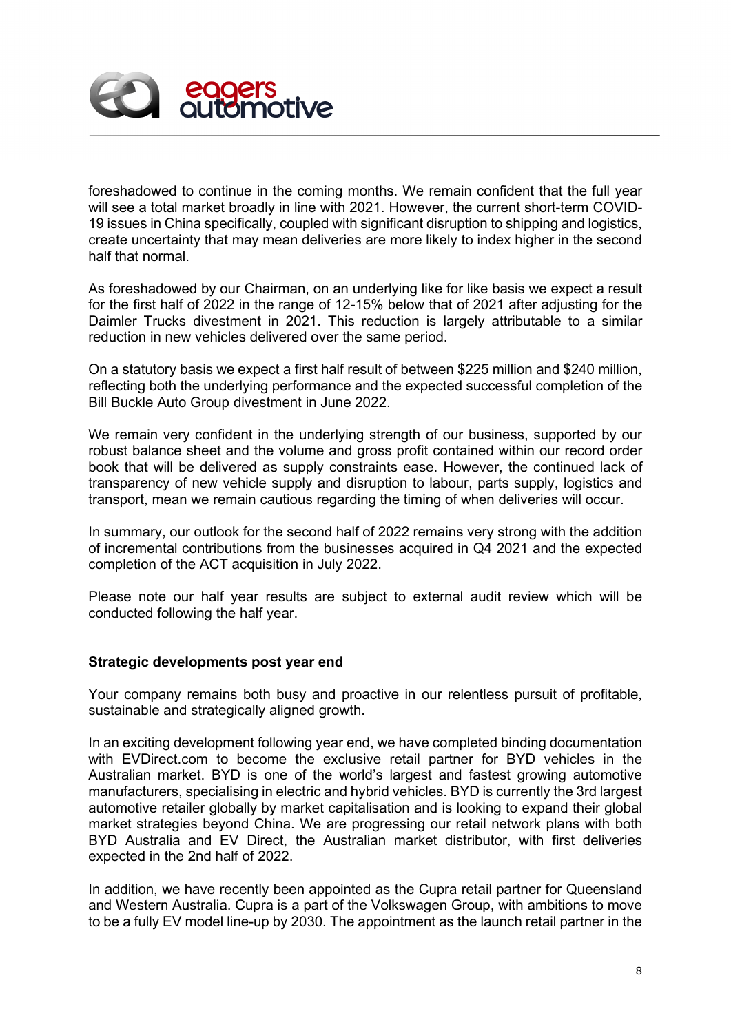

foreshadowed to continue in the coming months. We remain confident that the full year will see a total market broadly in line with 2021. However, the current short-term COVID-19 issues in China specifically, coupled with significant disruption to shipping and logistics, create uncertainty that may mean deliveries are more likely to index higher in the second half that normal.

As foreshadowed by our Chairman, on an underlying like for like basis we expect a result for the first half of 2022 in the range of 12-15% below that of 2021 after adjusting for the Daimler Trucks divestment in 2021. This reduction is largely attributable to a similar reduction in new vehicles delivered over the same period.

On a statutory basis we expect a first half result of between \$225 million and \$240 million, reflecting both the underlying performance and the expected successful completion of the Bill Buckle Auto Group divestment in June 2022.

We remain very confident in the underlying strength of our business, supported by our robust balance sheet and the volume and gross profit contained within our record order book that will be delivered as supply constraints ease. However, the continued lack of transparency of new vehicle supply and disruption to labour, parts supply, logistics and transport, mean we remain cautious regarding the timing of when deliveries will occur.

In summary, our outlook for the second half of 2022 remains very strong with the addition of incremental contributions from the businesses acquired in Q4 2021 and the expected completion of the ACT acquisition in July 2022.

Please note our half year results are subject to external audit review which will be conducted following the half year.

## **Strategic developments post year end**

Your company remains both busy and proactive in our relentless pursuit of profitable, sustainable and strategically aligned growth.

In an exciting development following year end, we have completed binding documentation with EVDirect.com to become the exclusive retail partner for BYD vehicles in the Australian market. BYD is one of the world's largest and fastest growing automotive manufacturers, specialising in electric and hybrid vehicles. BYD is currently the 3rd largest automotive retailer globally by market capitalisation and is looking to expand their global market strategies beyond China. We are progressing our retail network plans with both BYD Australia and EV Direct, the Australian market distributor, with first deliveries expected in the 2nd half of 2022.

In addition, we have recently been appointed as the Cupra retail partner for Queensland and Western Australia. Cupra is a part of the Volkswagen Group, with ambitions to move to be a fully EV model line-up by 2030. The appointment as the launch retail partner in the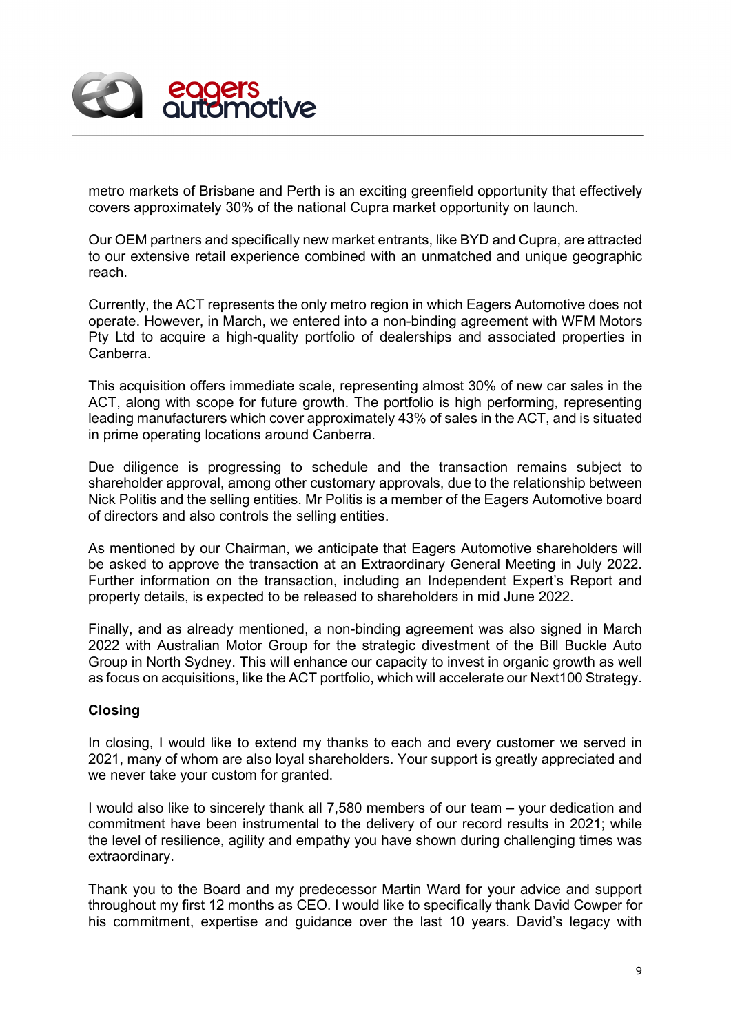

metro markets of Brisbane and Perth is an exciting greenfield opportunity that effectively covers approximately 30% of the national Cupra market opportunity on launch.

Our OEM partners and specifically new market entrants, like BYD and Cupra, are attracted to our extensive retail experience combined with an unmatched and unique geographic reach.

Currently, the ACT represents the only metro region in which Eagers Automotive does not operate. However, in March, we entered into a non-binding agreement with WFM Motors Pty Ltd to acquire a high-quality portfolio of dealerships and associated properties in Canberra.

This acquisition offers immediate scale, representing almost 30% of new car sales in the ACT, along with scope for future growth. The portfolio is high performing, representing leading manufacturers which cover approximately 43% of sales in the ACT, and is situated in prime operating locations around Canberra.

Due diligence is progressing to schedule and the transaction remains subject to shareholder approval, among other customary approvals, due to the relationship between Nick Politis and the selling entities. Mr Politis is a member of the Eagers Automotive board of directors and also controls the selling entities.

As mentioned by our Chairman, we anticipate that Eagers Automotive shareholders will be asked to approve the transaction at an Extraordinary General Meeting in July 2022. Further information on the transaction, including an Independent Expert's Report and property details, is expected to be released to shareholders in mid June 2022.

Finally, and as already mentioned, a non-binding agreement was also signed in March 2022 with Australian Motor Group for the strategic divestment of the Bill Buckle Auto Group in North Sydney. This will enhance our capacity to invest in organic growth as well as focus on acquisitions, like the ACT portfolio, which will accelerate our Next100 Strategy.

# **Closing**

In closing, I would like to extend my thanks to each and every customer we served in 2021, many of whom are also loyal shareholders. Your support is greatly appreciated and we never take your custom for granted.

I would also like to sincerely thank all 7,580 members of our team – your dedication and commitment have been instrumental to the delivery of our record results in 2021; while the level of resilience, agility and empathy you have shown during challenging times was extraordinary.

Thank you to the Board and my predecessor Martin Ward for your advice and support throughout my first 12 months as CEO. I would like to specifically thank David Cowper for his commitment, expertise and guidance over the last 10 years. David's legacy with